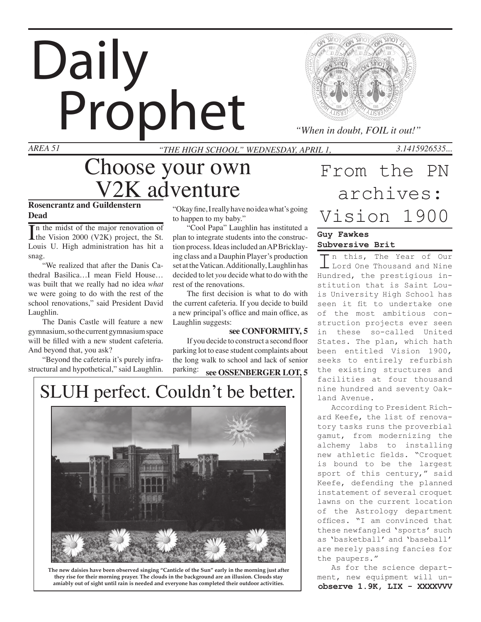# Daily Prophet

*AREA 51 "The High SChool" Wednesday, April 1, 3.1415926535...*

### Choose your own V2K adventure

**Rosencrantz and Guildenstern Dead**

In the midst of the major renovation of<br>the Vision 2000 (V2K) project, the St. In the midst of the major renovation of Louis U. High administration has hit a snag.

"We realized that after the Danis Cathedral Basilica…I mean Field House… was built that we really had no idea *what* we were going to do with the rest of the school renovations," said President David Laughlin.

The Danis Castle will feature a new gymnasium, so the current gymnasium space will be filled with a new student cafeteria. And beyond that, you ask?

"Beyond the cafeteria it's purely infrastructural and hypothetical," said Laughlin. "Okay fine, I really have no idea what's going to happen to my baby."

"Cool Papa" Laughlin has instituted a plan to integrate students into the construction process. Ideas included an AP Bricklaying class and a Dauphin Player's production set at the Vatican. Additionally, Laughlin has decided to let *you* decide what to do with the rest of the renovations.

The first decision is what to do with the current cafeteria. If you decide to build a new principal's office and main office, as Laughlin suggests:

#### **see CONFORMITY, 5**

If you decide to construct a second floor parking lot to ease student complaints about the long walk to school and lack of senior parking:

### **see OSSENBERGER LOT, 5**



**The new daisies have been observed singing "Canticle of the Sun" early in the morning just after they rise for their morning prayer. The clouds in the background are an illusion. Clouds stay amiably out of sight until rain is needed and everyone has completed their outdoor activities.**



*"When in doubt, FOIL it out!"*

# From the PN archives: Vision 1900

#### **Guy Fawkes Subversive Brit**

In this, The Year of Our<br>
Lord One Thousand and Nine Hundred, the prestigious institution that is Saint Louis University High School has seen it fit to undertake one of the most ambitious construction projects ever seen in these so-called United States. The plan, which hath been entitled Vision 1900, seeks to entirely refurbish the existing structures and facilities at four thousand nine hundred and seventy Oakland Avenue.

According to President Richard Keefe, the list of renovatory tasks runs the proverbial gamut, from modernizing the alchemy labs to installing new athletic fields. "Croquet is bound to be the largest sport of this century," said Keefe, defending the planned instatement of several croquet lawns on the current location of the Astrology department offices. "I am convinced that these newfangled 'sports' such as 'basketball' and 'baseball' are merely passing fancies for the paupers."

**observe 1.9K, LIX - XXXXVVV** As for the science department, new equipment will un-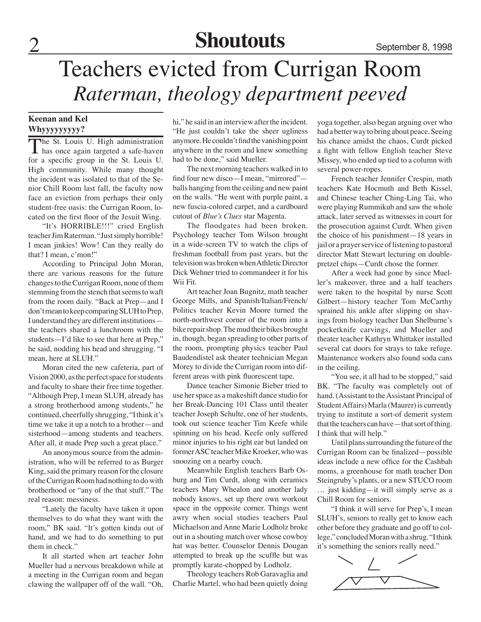# Teachers evicted from Currigan Room *Raterman, theology department peeved*

### **Keenan and Kel Whyyyyyyyyy?**

The St. Louis U. High administration<br>has once again targeted a safe-haven for a specific group in the St. Louis U. High community. While many thought the incident was isolated to that of the Senior Chill Room last fall, the faculty now face an eviction from perhaps their only student-free oasis: the Currigan Room, located on the first floor of the Jesuit Wing.

"It's HORRIBLE!!!" cried English teacher Jim Raterman. "Just simply horrible! I mean jinkies! Wow! Can they really do that? I mean, c'mon!"

According to Principal John Moran, there are various reasons for the future changes to the Currigan Room, none of them stemming from the stench that seems to waft from the room daily. "Back at Prep—and I don't mean to keep comparing SLUH to Prep, I understand they are different institutions the teachers shared a lunchroom with the students—I'd like to see that here at Prep," he said, nodding his head and shrugging. "I mean, here at SLUH."

Moran cited the new cafeteria, part of Vision 2000, as the perfect space for students and faculty to share their free time together. "Although Prep, I mean SLUH, already has a strong brotherhood among students," he continued, cheerfully shrugging, "I think it's time we take it up a notch to a brother—and sisterhood—among students and teachers. After all, it made Prep such a great place."

An anonymous source from the administration, who will be referred to as Burger King, said the primary reason for the closure of the Currigan Room had nothing to do with brotherhood or "any of the that stuff." The real reason: messiness.

"Lately the faculty have taken it upon themselves to do what they want with the room," BK said. "It's gotten kinda out of hand, and we had to do something to put them in check."

It all started when art teacher John Mueller had a nervous breakdown while at a meeting in the Currigan room and began clawing the wallpaper off of the wall. "Oh, hi," he said in an interview after the incident. "He just couldn't take the sheer ugliness anymore. He couldn't find the vanishing point anywhere in the room and knew something had to be done," said Mueller.

The next morning teachers walked in to find four new disco—I mean, "mirrored" balls hanging from the ceiling and new paint on the walls. "He went with purple paint, a new fuscia-colored carpet, and a cardboard cutout of *Blue's Clues* star Magenta.

The floodgates had been broken. Psychology teacher Tom Wilson brought in a wide-screen TV to watch the clips of freshman football from past years, but the television was broken when Athletic Director Dick Wehner tried to commandeer it for his Wii Fit.

Art teacher Joan Bugnitz, math teacher George Mills, and Spanish/Italian/French/ Politics teacher Kevin Moore turned the north-northwest corner of the room into a bike repair shop. The mud their bikes brought in, though, began spreading to other parts of the room, prompting physics teacher Paul Baudendistel ask theater technician Megan Morey to divide the Currigan room into different areas with pink fluorescent tape.

Dance teacher Simonie Bieber tried to use her space as a makeshift dance studio for her Break-Dancing 101 Class until theater teacher Joseph Schulte, one of her students, took out science teacher Tim Keefe while spinning on his head. Keefe only suffered minor injuries to his right ear but landed on former ASC teacher Mike Kroeker, who was snoozing on a nearby couch.

Meanwhile English teachers Barb Osburg and Tim Curdt, along with ceramics teachers Mary Whealon and another lady nobody knows, set up there own workout space in the opposite corner. Things went awry when social studies teachers Paul Michaelson and Anne Marie Lodholz broke out in a shouting match over whose cowboy hat was better. Counselor Dennis Dougan attempted to break up the scuffle but was promptly karate-chopped by Lodholz.

Theology teachers Rob Garavaglia and Charlie Martel, who had been quietly doing yoga together, also began arguing over who had a better way to bring about peace. Seeing his chance amidst the chaos, Curdt picked a fight with fellow English teacher Steve Missey, who ended up tied to a column with several power-ropes.

French teacher Jennifer Crespin, math teachers Kate Hocmuth and Beth Kissel, and Chinese teacher Ching-Ling Tai, who were playing Rummikub and saw the whole attack, later served as witnesses in court for the prosecution against Curdt. When given the choice of his punishment—18 years in jail or a prayer service of listening to pastoral director Matt Stewart lecturing on doublepretzel chips—Curdt chose the former.

After a week had gone by since Mueller's makeover, three and a half teachers were taken to the hospital by nurse Scott Gilbert—history teacher Tom McCarthy sprained his ankle after slipping on shavings from biology teacher Dan Shelburne's pocketknife carvings, and Mueller and theater teacher Kathryn Whittaker installed several cat doors for strays to take refuge. Maintenance workers also found soda cans in the ceiling.

"You see, it all had to be stopped," said BK. "The faculty was completely out of hand. (Assistant to the Assistant Principal of Student Affairs) Marla (Maurer) is currently trying to institute a sort-of demerit system that the teachers can have—that sort of thing. I think that will help."

Until plans surrounding the future of the Currigan Room can be finalized—possible ideas include a new office for the Cashbah moms, a greenhouse for math teacher Don Steingruby's plants, or a new STUCO room … just kidding—it will simply serve as a Chill Room for seniors.

"I think it will serve for Prep's, I mean SLUH's, seniors to really get to know each other before they graduate and go off to college," concluded Moran with a shrug. "I think it's something the seniors really need."

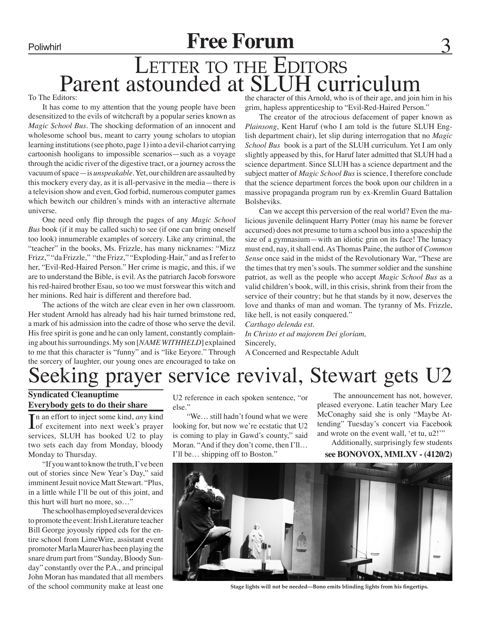### **Free Forum** Parent astounded at SLUH curriculum LETTER TO THE EDITORS

To The Editors:

It has come to my attention that the young people have been desensitized to the evils of witchcraft by a popular series known as *Magic School Bus.* The shocking deformation of an innocent and wholesome school bus, meant to carry young scholars to utopian learning institutions (see photo, page 1) into a devil-chariot carrying cartoonish hooligans to impossible scenarios—such as a voyage through the acidic river of the digestive tract, or a journey across the vacuum of space—is *unspeakable*. Yet, our children are assaulted by this mockery every day, as it is all-pervasive in the media—there is a television show and even, God forbid, numerous computer games which bewitch our children's minds with an interactive alternate universe.

One need only flip through the pages of any *Magic School Bus* book (if it may be called such) to see (if one can bring oneself too look) innumerable examples of sorcery. Like any criminal, the "teacher" in the books, Ms. Frizzle, has many nicknames: "Mizz Frizz," "da Frizzle," "the Frizz," "Exploding-Hair," and as I refer to her, "Evil-Red-Haired Person." Her crime is magic, and this, if we are to understand the Bible, is evil. As the patriarch Jacob forswore his red-haired brother Esau, so too we must forswear this witch and her minions. Red hair is different and therefore bad.

The actions of the witch are clear even in her own classroom. Her student Arnold has already had his hair turned brimstone red, a mark of his admission into the cadre of those who serve the devil. His free spirit is gone and he can only lament, constantly complaining about his surroundings. My son [*NAME WITHHELD*] explained to me that this character is "funny" and is "like Eeyore." Through the sorcery of laughter, our young ones are encouraged to take on

the character of this Arnold, who is of their age, and join him in his grim, hapless apprenticeship to "Evil-Red-Haired Person."

The creator of the atrocious defacement of paper known as *Plainsong*, Kent Haruf (who I am told is the future SLUH English department chair), let slip during interrogation that no *Magic School Bus* book is a part of the SLUH curriculum. Yet I am only slightly appeased by this, for Haruf later admitted that SLUH had a science department. Since SLUH has a science department and the subject matter of *Magic School Bus* is science, I therefore conclude that the science department forces the book upon our children in a massive propaganda program run by ex-Kremlin Guard Battalion Bolsheviks.

Can we accept this perversion of the real world? Even the malicious juvenile delinquent Harry Potter (may his name be forever accursed) does not presume to turn a school bus into a spaceship the size of a gymnasium—with an idiotic grin on its face! The lunacy must end, nay, it shall end. As Thomas Paine, the author of *Common Sense* once said in the midst of the Revolutionary War, "These are the times that try men's souls. The summer soldier and the sunshine patriot, as well as the people who accept *Magic School Bus* as a valid children's book, will, in this crisis, shrink from their from the service of their country; but he that stands by it now, deserves the love and thanks of man and woman. The tyranny of Ms. Frizzle, like hell, is not easily conquered."

*Carthago delenda est. In Christo et ad majorem Dei gloriam,* Sincerely, A Concerned and Respectable Adult

## Seeking prayer service revival, Stewart gets U2

### **Syndicated Cleanuptime Everybody gets to do their share**

In an effort to inject some kind, *any* kind<br>of excitement into next week's prayer of excitement into next week's prayer services, SLUH has booked U2 to play two sets each day from Monday, bloody Monday to Thursday.

"If you want to know the truth, I've been out of stories since New Year's Day," said imminent Jesuit novice Matt Stewart. "Plus, in a little while I'll be out of this joint, and this hurt will hurt no more, so…"

The school has employed several devices to promote the event: Irish Literature teacher Bill George joyously ripped cds for the entire school from LimeWire, assistant event promoter Marla Maurer has been playing the snare drum part from "Sunday, Bloody Sunday" constantly over the P.A., and principal John Moran has mandated that all members of the school community make at least one

U2 reference in each spoken sentence, "or else."

"We… still hadn't found what we were looking for, but now we're ecstatic that U2 is coming to play in Gawd's county," said Moran. "And if they don't come, then I'll… I'll be… shipping off to Boston."

 The announcement has not, however, pleased everyone. Latin teacher Mary Lee McConaghy said she is only "Maybe Attending" Tuesday's concert via Facebook and wrote on the event wall, 'et tu, u2!'"

**see BONOVOX, MMLXV - (4120/2)** Additionally, surprisingly few students



 **Stage lights will not be needed—Bono emits blinding lights from his fingertips.**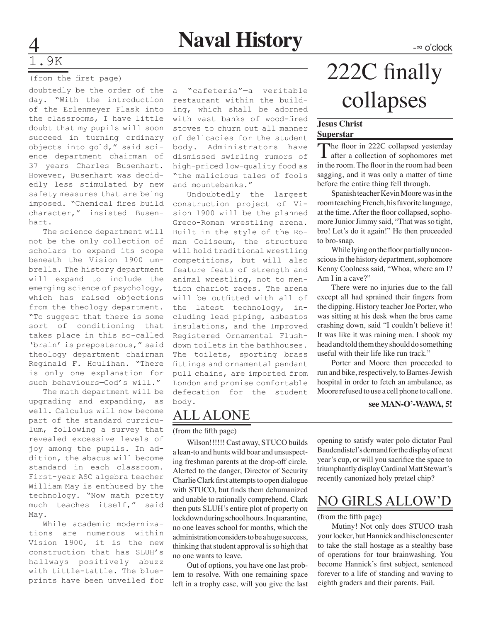### .9K

#### (from the first page)

doubtedly be the order of the day. "With the introduction of the Erlenmeyer Flask into the classrooms, I have little doubt that my pupils will soon succeed in turning ordinary objects into gold," said science department chairman of 37 years Charles Busenhart. However, Busenhart was decidedly less stimulated by new safety measures that are being imposed. "Chemical fires build character," insisted Busenhart.

The science department will not be the only collection of scholars to expand its scope beneath the Vision 1900 umbrella. The history department will expand to include the emerging science of psychology, which has raised objections from the theology department. "To suggest that there is some sort of conditioning that takes place in this so-called 'brain' is preposterous," said theology department chairman Reginald F. Houlihan. "There is only one explanation for such behaviours—God's will."

The math department will be upgrading and expanding, as well. Calculus will now become part of the standard curriculum, following a survey that revealed excessive levels of joy among the pupils. In addition, the abacus will become standard in each classroom. First-year ASC algebra teacher William May is enthused by the technology. "Now math pretty much teaches itself," said May.

While academic modernizations are numerous within Vision 1900, it is the new construction that has SLUH's hallways positively abuzz with tittle-tattle. The blueprints have been unveiled for

a "cafeteria"—a veritable restaurant within the building, which shall be adorned with vast banks of wood-fired stoves to churn out all manner of delicacies for the student body. Administrators have dismissed swirling rumors of high-priced low-quality food as "the malicious tales of fools and mountebanks."

Undoubtedly the largest construction project of Vision 1900 will be the planned Greco-Roman wrestling arena. Built in the style of the Roman Coliseum, the structure will hold traditional wrestling competitions, but will also feature feats of strength and animal wrestling, not to mention chariot races. The arena will be outfitted with all of the latest technology, including lead piping, asbestos insulations, and the Improved Registered Ornamental Flushdown toilets in the bathhouses. The toilets, sporting brass fittings and ornamental pendant pull chains, are imported from London and promise comfortable defecation for the student body.

### ALL ALONE

#### (from the fifth page)

Wilson!!!!!! Cast away, STUCO builds a lean-to and hunts wild boar and unsuspecting freshman parents at the drop-off circle. Alerted to the danger, Director of Security Charlie Clark first attempts to open dialogue with STUCO, but finds them dehumanized and unable to rationally comprehend. Clark then puts SLUH's entire plot of property on lockdown during school hours. In quarantine, no one leaves school for months, which the administration considers to be a huge success, thinking that student approval is so high that no one wants to leave.

Out of options, you have one last problem to resolve. With one remaining space left in a trophy case, will you give the last

# 222C finally collapses

#### **Jesus Christ Superstar**

The floor in 222C collapsed yesterday<br>
after a collection of sophomores met in the room. The floor in the room had been sagging, and it was only a matter of time before the entire thing fell through.

Spanish teacher Kevin Moore was in the room teaching French, his favorite language, at the time. After the floor collapsed, sophomore Junior Jimmy said, "That was so tight, bro! Let's do it again!" He then proceeded to bro-snap.

While lying on the floor partially unconscious in the history department, sophomore Kenny Coolness said, "Whoa, where am I? Am I in a cave?"

There were no injuries due to the fall except all had sprained their fingers from the dipping. History teacher Joe Porter, who was sitting at his desk when the bros came crashing down, said "I couldn't believe it! It was like it was raining men. I shook my head and told them they should do something useful with their life like run track."

Porter and Moore then proceeded to run and bike, respectively, to Barnes-Jewish hospital in order to fetch an ambulance, as Moore refused to use a cell phone to call one.

#### **see MAN-O'-WAWA, 5!**

opening to satisfy water polo dictator Paul Baudendistel's demand for the display of next year's cup, or will you sacrifice the space to triumphantly display Cardinal Matt Stewart's recently canonized holy pretzel chip?

### NO GIRLS ALLOW'D

(from the fifth page)

Mutiny! Not only does STUCO trash your locker, but Hannick and his clones enter to take the stall hostage as a stealthy base of operations for tour brainwashing. You become Hannick's first subject, sentenced forever to a life of standing and waving to eighth graders and their parents. Fail.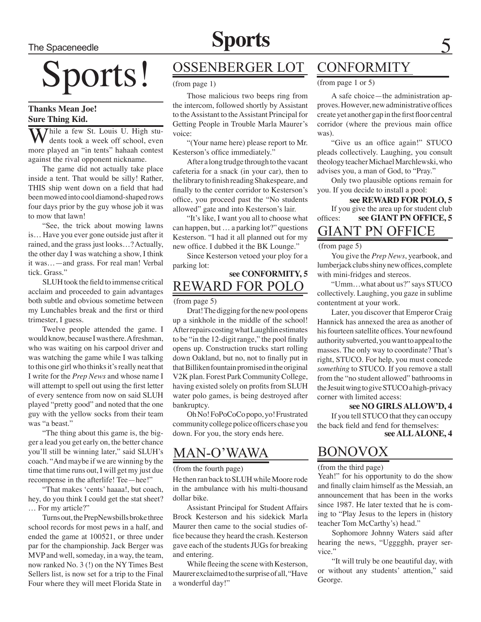# **Sports**

# Sports!

#### **Thanks Mean Joe! Sure Thing Kid.**

**While a few St. Louis U. High stu**dents took a week off school, even more played an "in tents" hahaah contest against the rival opponent nickname.

The game did not actually take place inside a tent. That would be silly! Rather, THIS ship went down on a field that had been mowed into cool diamond-shaped rows four days prior by the guy whose job it was to mow that lawn!

"See, the trick about mowing lawns is… Have you ever gone outside just after it rained, and the grass just looks…? Actually, the other day I was watching a show, I think it was…—and grass. For real man! Verbal tick. Grass."

SLUH took the field to immense critical acclaim and proceeded to gain advantages both subtle and obvious sometime between my Lunchables break and the first or third trimester, I guess.

Twelve people attended the game. I would know, because I was there. A freshman, who was waiting on his carpool driver and was watching the game while I was talking to this one girl who thinks it's really neat that I write for the *Prep News* and whose name I will attempt to spell out using the first letter of every sentence from now on said SLUH played "pretty good" and noted that the one guy with the yellow socks from their team was "a beast."

"The thing about this game is, the bigger a lead you get early on, the better chance you'll still be winning later," said SLUH's coach. "And maybe if we are winning by the time that time runs out, I will get my just due recompense in the afterlife! Tee—hee!"

"That makes 'cents' haaaa!, but coach, hey, do you think I could get the stat sheet? … For my article?"

Turns out, the PrepNewsbills broke three school records for most pews in a half, and ended the game at 100521, or three under par for the championship. Jack Berger was MVP and well, someday, in a way, the team, now ranked No. 3 (!) on the NY Times Best Sellers list, is now set for a trip to the Final Four where they will meet Florida State in

### OSSENBERGER LOT

(from page 1)

Those malicious two beeps ring from the intercom, followed shortly by Assistant to the Assistant to the Assistant Principal for Getting People in Trouble Marla Maurer's voice:

"(Your name here) please report to Mr. Kesterson's office immediately."

After a long trudge through to the vacant cafeteria for a snack (in your car), then to the library to finish reading Shakespeare, and finally to the center corridor to Kesterson's office, you proceed past the "No students allowed" gate and into Kesterson's lair.

"It's like, I want you all to choose what can happen, but … a parking lot?" questions Kesterson. "I had it all planned out for my new office. I dubbed it the BK Lounge."

Since Kesterson vetoed your ploy for a parking lot: **see CONFORMITY, 5**

### REWARD FOR POLO

#### (from page 5)

Drat! The digging for the new pool opens up a sinkhole in the middle of the school! After repairs costing what Laughlin estimates to be "in the 12-digit range," the pool finally opens up. Construction trucks start rolling down Oakland, but no, not to finally put in that Billiken fountain promised in the original V2K plan. Forest Park Community College, having existed solely on profits from SLUH water polo games, is being destroyed after bankruptcy.

Oh No! FoPoCoCo popo, yo! Frustrated community college police officers chase you down. For you, the story ends here.

### MAN-O'WAwA

(from the fourth page)

He then ran back to SLUH while Moore rode in the ambulance with his multi-thousand dollar bike.

Assistant Principal for Student Affairs Brock Kesterson and his sidekick Marla Maurer then came to the social studies office because they heard the crash. Kesterson gave each of the students JUGs for breaking and entering.

While fleeing the scene with Kesterson, Maurer exclaimed to the surprise of all, "Have a wonderful day!"

### **CONFORMITY**

(from page 1 or 5)

A safe choice—the administration approves. However, new administrative offices create yet another gap in the first floor central corridor (where the previous main office was).

"Give us an office again!" STUCO pleads collectively. Laughing, you consult theology teacher Michael Marchlewski, who advises you, a man of God, to "Pray."

Only two plausible options remain for you. If you decide to install a pool:

If you give the area up for student club offices: **see REWARD FOR POLO, 5 see GIANT PN OFFICE, 5**

### GIANT PN OFFICE

#### (from page 5)

You give the *Prep News*, yearbook, and lumberjack clubs shiny new offices, complete with mini-fridges and stereos.

"Umm…what about us?" says STUCO collectively. Laughing, you gaze in sublime contentment at your work.

Later, you discover that Emperor Craig Hannick has annexed the area as another of his fourteen satellite offices. Your newfound authority subverted, you want to appeal to the masses. The only way to coordinate? That's right, STUCO. For help, you must concede *something* to STUCO. If you remove a stall from the "no student allowed" bathrooms in the Jesuit wing to give STUCO a high-privacy corner with limited access:

#### **see NO GIRLS ALLOW'D, 4**

If you tell STUCO that they can occupy the back field and fend for themselves: **see ALL ALONE, 4**

### BONOVOX

#### (from the third page)

Yeah!" for his opportunity to do the show and finally claim himself as the Messiah, an announcement that has been in the works since 1987. He later texted that he is coming to "Play Jesus to the lepers in (history teacher Tom McCarthy's) head."

Sophomore Johnny Waters said after hearing the news, "Ugggghh, prayer service."

"It will truly be one beautiful day, with or without any students' attention," said George.